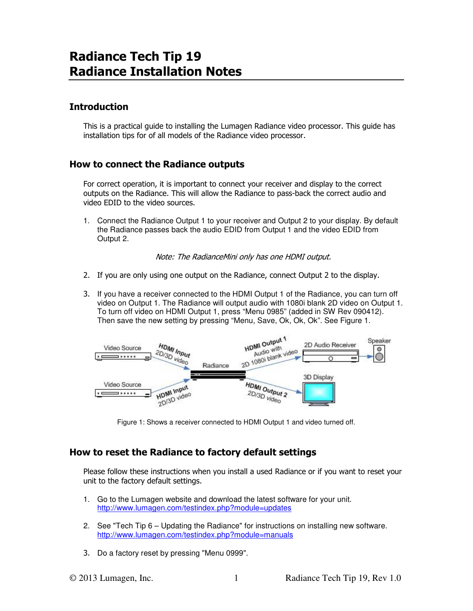# Radiance Tech Tip 19 Radiance Installation Notes

# Introduction

This is a practical guide to installing the Lumagen Radiance video processor. This guide has installation tips for of all models of the Radiance video processor.

## How to connect the Radiance outputs

For correct operation, it is important to connect your receiver and display to the correct outputs on the Radiance. This will allow the Radiance to pass-back the correct audio and video EDID to the video sources.

1. Connect the Radiance Output 1 to your receiver and Output 2 to your display. By default the Radiance passes back the audio EDID from Output 1 and the video EDID from Output 2.

Note: The RadianceMini only has one HDMI output.

- 2. If you are only using one output on the Radiance, connect Output 2 to the display.
- 3. If you have a receiver connected to the HDMI Output 1 of the Radiance, you can turn off video on Output 1. The Radiance will output audio with 1080i blank 2D video on Output 1. To turn off video on HDMI Output 1, press "Menu 0985" (added in SW Rev 090412). Then save the new setting by pressing "Menu, Save, Ok, Ok, Ok". See Figure 1.



Figure 1: Shows a receiver connected to HDMI Output 1 and video turned off.

## How to reset the Radiance to factory default settings

Please follow these instructions when you install a used Radiance or if you want to reset your unit to the factory default settings.

- 1. Go to the Lumagen website and download the latest software for your unit. http://www.lumagen.com/testindex.php?module=updates
- 2. See "Tech Tip 6 Updating the Radiance" for instructions on installing new software. http://www.lumagen.com/testindex.php?module=manuals
- 3. Do a factory reset by pressing "Menu 0999".

© 2013 Lumagen, Inc. 1 Radiance Tech Tip 19, Rev 1.0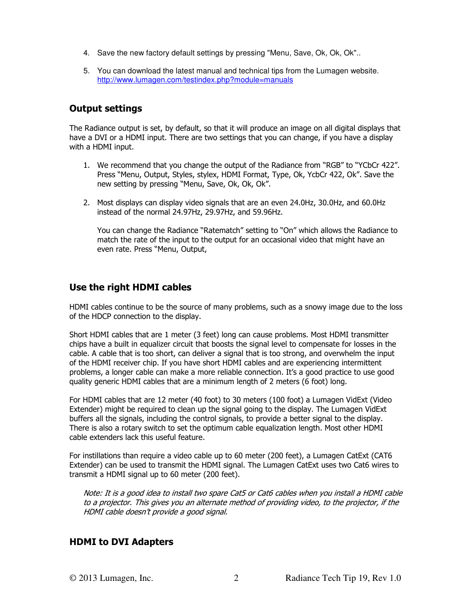- 4. Save the new factory default settings by pressing "Menu, Save, Ok, Ok, Ok"..
- 5. You can download the latest manual and technical tips from the Lumagen website. http://www.lumagen.com/testindex.php?module=manuals

## Output settings

The Radiance output is set, by default, so that it will produce an image on all digital displays that have a DVI or a HDMI input. There are two settings that you can change, if you have a display with a HDMI input.

- 1. We recommend that you change the output of the Radiance from "RGB" to "YCbCr 422". Press "Menu, Output, Styles, stylex, HDMI Format, Type, Ok, YcbCr 422, Ok". Save the new setting by pressing "Menu, Save, Ok, Ok, Ok".
- 2. Most displays can display video signals that are an even 24.0Hz, 30.0Hz, and 60.0Hz instead of the normal 24.97Hz, 29.97Hz, and 59.96Hz.

You can change the Radiance "Ratematch" setting to "On" which allows the Radiance to match the rate of the input to the output for an occasional video that might have an even rate. Press "Menu, Output,

## Use the right HDMI cables

HDMI cables continue to be the source of many problems, such as a snowy image due to the loss of the HDCP connection to the display.

Short HDMI cables that are 1 meter (3 feet) long can cause problems. Most HDMI transmitter chips have a built in equalizer circuit that boosts the signal level to compensate for losses in the cable. A cable that is too short, can deliver a signal that is too strong, and overwhelm the input of the HDMI receiver chip. If you have short HDMI cables and are experiencing intermittent problems, a longer cable can make a more reliable connection. It's a good practice to use good quality generic HDMI cables that are a minimum length of 2 meters (6 foot) long.

For HDMI cables that are 12 meter (40 foot) to 30 meters (100 foot) a Lumagen VidExt (Video Extender) might be required to clean up the signal going to the display. The Lumagen VidExt buffers all the signals, including the control signals, to provide a better signal to the display. There is also a rotary switch to set the optimum cable equalization length. Most other HDMI cable extenders lack this useful feature.

For instillations than require a video cable up to 60 meter (200 feet), a Lumagen CatExt (CAT6 Extender) can be used to transmit the HDMI signal. The Lumagen CatExt uses two Cat6 wires to transmit a HDMI signal up to 60 meter (200 feet).

Note: It is a good idea to install two spare Cat5 or Cat6 cables when you install a HDMI cable to a projector. This gives you an alternate method of providing video, to the projector, if the HDMI cable doesn't provide a good signal.

#### HDMI to DVI Adapters